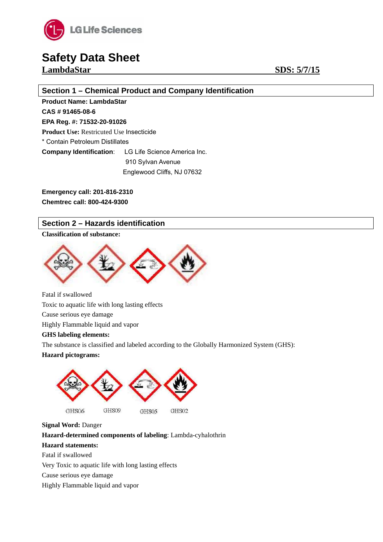

LambdaStar SDS: 5/7/15

# **Section 1 – Chemical Product and Company Identification Product Name: LambdaStar**

**CAS # 91465-08-6 EPA Reg. #: 71532-20-91026 Product Use:** Restricuted Use Insecticide \* Contain Petroleum Distillates **Company Identification**: LG Life Science America Inc. 910 Sylvan Avenue Englewood Cliffs, NJ 07632

**Emergency call: 201-816-2310 Chemtrec call: 800-424-9300** 

# **Section 2 – Hazards identification**

**Classification of substance:** 



Fatal if swallowed Toxic to aquatic life with long lasting effects Cause serious eye damage Highly Flammable liquid and vapor **GHS labeling elements:** 

The substance is classified and labeled according to the Globally Harmonized System (GHS):

## **Hazard pictograms:**



**Signal Word:** Danger **Hazard-determined components of labeling**: Lambda-cyhalothrin **Hazard statements:**  Fatal if swallowed Very Toxic to aquatic life with long lasting effects Cause serious eye damage Highly Flammable liquid and vapor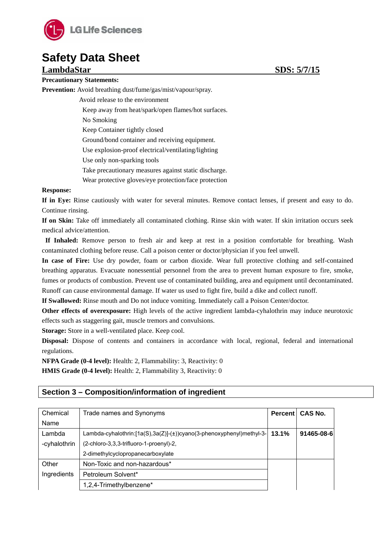

## LambdaStar SDS: 5/7/15

#### **Precautionary Statements:**

**Prevention:** Avoid breathing dust/fume/gas/mist/vapour/spray.

Avoid release to the environment

Keep away from heat/spark/open flames/hot surfaces.

No Smoking

Keep Container tightly closed

Ground/bond container and receiving equipment.

Use explosion-proof electrical/ventilating/lighting

Use only non-sparking tools

Take precautionary measures against static discharge.

Wear protective gloves/eye protection/face protection

#### **Response:**

**If in Eye:** Rinse cautiously with water for several minutes. Remove contact lenses, if present and easy to do. Continue rinsing.

**If on Skin:** Take off immediately all contaminated clothing. Rinse skin with water. If skin irritation occurs seek medical advice/attention.

 **If Inhaled:** Remove person to fresh air and keep at rest in a position comfortable for breathing. Wash contaminated clothing before reuse. Call a poison center or doctor/physician if you feel unwell.

**In case of Fire:** Use dry powder, foam or carbon dioxide. Wear full protective clothing and self-contained breathing apparatus. Evacuate nonessential personnel from the area to prevent human exposure to fire, smoke, fumes or products of combustion. Prevent use of contaminated building, area and equipment until decontaminated. Runoff can cause environmental damage. If water us used to fight fire, build a dike and collect runoff.

**If Swallowed:** Rinse mouth and Do not induce vomiting. Immediately call a Poison Center/doctor.

**Other effects of overexposure:** High levels of the active ingredient lambda-cyhalothrin may induce neurotoxic effects such as staggering gait, muscle tremors and convulsions.

**Storage:** Store in a well-ventilated place. Keep cool.

**Disposal:** Dispose of contents and containers in accordance with local, regional, federal and international regulations.

**NFPA Grade (0-4 level):** Health: 2, Flammability: 3, Reactivity: 0 **HMIS Grade (0-4 level):** Health: 2, Flammability 3, Reactivity: 0

# **Section 3 – Composition/information of ingredient**

| Chemical     | Trade names and Synonyms                                             |  | Percent   CAS No. |
|--------------|----------------------------------------------------------------------|--|-------------------|
| Name         |                                                                      |  |                   |
| Lambda       | Lambda-cyhalothrin:[1a(S),3a(Z)]-(±))cyano(3-phenoxyphenyl)methyl-3- |  | 91465-08-6        |
| -cyhalothrin | (2-chloro-3,3,3-trifluoro-1-proenyl)-2,                              |  |                   |
|              | 2-dimethylcyclopropanecarboxylate                                    |  |                   |
| Other        | Non-Toxic and non-hazardous*                                         |  |                   |
| Ingredients  | Petroleum Solvent*                                                   |  |                   |
|              | 1,2,4-Trimethylbenzene*                                              |  |                   |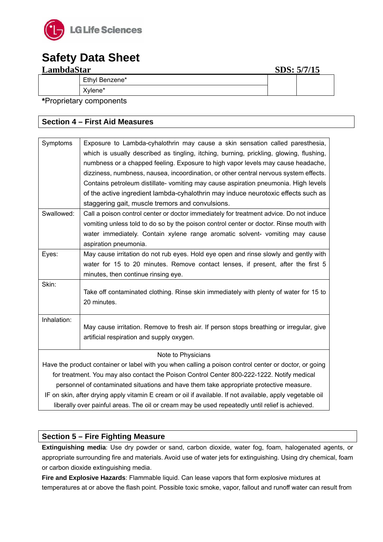

# LambdaStar SDS: 5/7/15

Ethyl Benzene\*

Xylene\*

**\***Proprietary components

# **Section 4 – First Aid Measures**

| Symptoms                                                                                                  | Exposure to Lambda-cyhalothrin may cause a skin sensation called paresthesia,           |  |  |
|-----------------------------------------------------------------------------------------------------------|-----------------------------------------------------------------------------------------|--|--|
|                                                                                                           | which is usually described as tingling, itching, burning, prickling, glowing, flushing, |  |  |
|                                                                                                           | numbness or a chapped feeling. Exposure to high vapor levels may cause headache,        |  |  |
|                                                                                                           | dizziness, numbness, nausea, incoordination, or other central nervous system effects.   |  |  |
|                                                                                                           | Contains petroleum distillate- vomiting may cause aspiration pneumonia. High levels     |  |  |
|                                                                                                           | of the active ingredient lambda-cyhalothrin may induce neurotoxic effects such as       |  |  |
|                                                                                                           | staggering gait, muscle tremors and convulsions.                                        |  |  |
| Swallowed:                                                                                                | Call a poison control center or doctor immediately for treatment advice. Do not induce  |  |  |
|                                                                                                           | vomiting unless told to do so by the poison control center or doctor. Rinse mouth with  |  |  |
|                                                                                                           | water immediately. Contain xylene range aromatic solvent- vomiting may cause            |  |  |
|                                                                                                           | aspiration pneumonia.                                                                   |  |  |
| Eyes:                                                                                                     | May cause irritation do not rub eyes. Hold eye open and rinse slowly and gently with    |  |  |
|                                                                                                           | water for 15 to 20 minutes. Remove contact lenses, if present, after the first 5        |  |  |
|                                                                                                           | minutes, then continue rinsing eye.                                                     |  |  |
| Skin:                                                                                                     |                                                                                         |  |  |
|                                                                                                           | Take off contaminated clothing. Rinse skin immediately with plenty of water for 15 to   |  |  |
|                                                                                                           | 20 minutes.                                                                             |  |  |
| Inhalation:                                                                                               |                                                                                         |  |  |
|                                                                                                           | May cause irritation. Remove to fresh air. If person stops breathing or irregular, give |  |  |
|                                                                                                           | artificial respiration and supply oxygen.                                               |  |  |
|                                                                                                           |                                                                                         |  |  |
| Note to Physicians                                                                                        |                                                                                         |  |  |
| Have the product container or label with you when calling a poison control center or doctor, or going     |                                                                                         |  |  |
| for treatment. You may also contact the Poison Control Center 800-222-1222. Notify medical                |                                                                                         |  |  |
| personnel of contaminated situations and have them take appropriate protective measure.                   |                                                                                         |  |  |
| IF on skin, after drying apply vitamin E cream or oil if available. If not available, apply vegetable oil |                                                                                         |  |  |

liberally over painful areas. The oil or cream may be used repeatedly until relief is achieved.

# **Section 5 – Fire Fighting Measure**

**Extinguishing media**: Use dry powder or sand, carbon dioxide, water fog, foam, halogenated agents, or appropriate surrounding fire and materials. Avoid use of water jets for extinguishing. Using dry chemical, foam or carbon dioxide extinguishing media.

**Fire and Explosive Hazards**: Flammable liquid. Can lease vapors that form explosive mixtures at temperatures at or above the flash point. Possible toxic smoke, vapor, fallout and runoff water can result from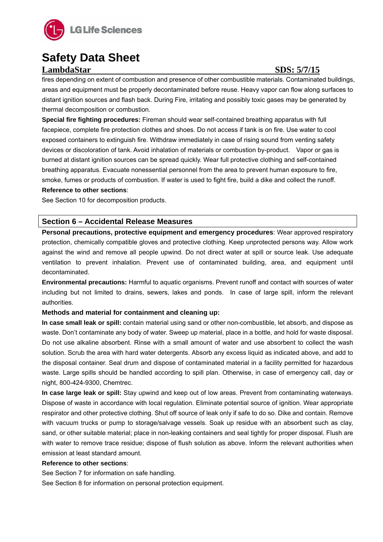

# **LambdaStar SDS: 5/7/15**

fires depending on extent of combustion and presence of other combustible materials. Contaminated buildings, areas and equipment must be properly decontaminated before reuse. Heavy vapor can flow along surfaces to distant ignition sources and flash back. During Fire, irritating and possibly toxic gases may be generated by thermal decomposition or combustion.

**Special fire fighting procedures:** Fireman should wear self-contained breathing apparatus with full facepiece, complete fire protection clothes and shoes. Do not access if tank is on fire. Use water to cool exposed containers to extinguish fire. Withdraw immediately in case of rising sound from venting safety devices or discoloration of tank. Avoid inhalation of materials or combustion by-product. Vapor or gas is burned at distant ignition sources can be spread quickly. Wear full protective clothing and self-contained breathing apparatus. Evacuate nonessential personnel from the area to prevent human exposure to fire, smoke, fumes or products of combustion. If water is used to fight fire, build a dike and collect the runoff.

### **Reference to other sections**:

See Section 10 for decomposition products.

## **Section 6 – Accidental Release Measures**

**Personal precautions, protective equipment and emergency procedures**: Wear approved respiratory protection, chemically compatible gloves and protective clothing. Keep unprotected persons way. Allow work against the wind and remove all people upwind. Do not direct water at spill or source leak. Use adequate ventilation to prevent inhalation. Prevent use of contaminated building, area, and equipment until decontaminated.

**Environmental precautions:** Harmful to aquatic organisms. Prevent runoff and contact with sources of water including but not limited to drains, sewers, lakes and ponds. In case of large spill, inform the relevant authorities.

### **Methods and material for containment and cleaning up:**

**In case small leak or spill:** contain material using sand or other non-combustible, let absorb, and dispose as waste. Don't contaminate any body of water. Sweep up material, place in a bottle, and hold for waste disposal. Do not use alkaline absorbent. Rinse with a small amount of water and use absorbent to collect the wash solution. Scrub the area with hard water detergents. Absorb any excess liquid as indicated above, and add to the disposal container. Seal drum and dispose of contaminated material in a facility permitted for hazardous waste. Large spills should be handled according to spill plan. Otherwise, in case of emergency call, day or night, 800-424-9300, Chemtrec.

**In case large leak or spill:** Stay upwind and keep out of low areas. Prevent from contaminating waterways. Dispose of waste in accordance with local regulation. Eliminate potential source of ignition. Wear appropriate respirator and other protective clothing. Shut off source of leak only if safe to do so. Dike and contain. Remove with vacuum trucks or pump to storage/salvage vessels. Soak up residue with an absorbent such as clay, sand, or other suitable material; place in non-leaking containers and seal tightly for proper disposal. Flush are with water to remove trace residue; dispose of flush solution as above. Inform the relevant authorities when emission at least standard amount.

### **Reference to other sections**:

See Section 7 for information on safe handling.

See Section 8 for information on personal protection equipment.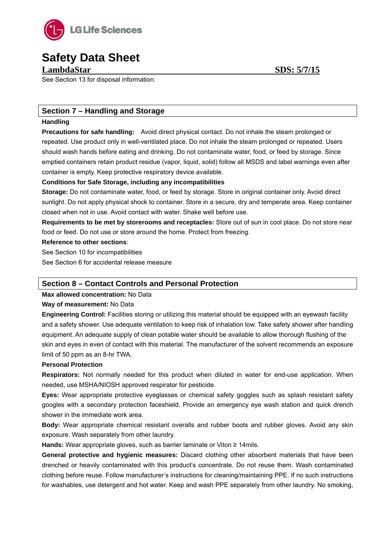

**LambdaStar SDS: 5/7/15**

See Section 13 for disposal information.

## **Section 7 – Handling and Storage**

### **Handling**

**Precautions for safe handling:** Avoid direct physical contact. Do not inhale the steam prolonged or repeated. Use product only in well-ventilated place. Do not inhale the steam prolonged or repeated. Users should wash hands before eating and drinking. Do not contaminate water, food, or feed by storage. Since emptied containers retain product residue (vapor, liquid, solid) follow all MSDS and label warnings even after container is empty. Keep protective respiratory device available.

### **Conditions for Safe Storage, including any incompatibilities**

**Storage:** Do not contaminate water, food, or feed by storage. Store in original container only. Avoid direct sunlight. Do not apply physical shock to container. Store in a secure, dry and temperate area. Keep container closed when not in use. Avoid contact with water. Shake well before use.

**Requirements to be met by storerooms and receptacles:** Store out of sun in cool place. Do not store near food or feed. Do not use or store around the home. Protect from freezing.

#### **Reference to other sections**:

See Section 10 for incompatibilities See Section 6 for accidental release measure

## **Section 8 – Contact Controls and Personal Protection**

#### **Max allowed concentration:** No Data

### **Way of measurement:** No Data

**Engineering Control:** Facilities storing or utilizing this material should be equipped with an eyewash facility and a safety shower. Use adequate ventilation to keep risk of inhalation low. Take safety shower after handling equipment. An adequate supply of clean potable water should be available to allow thorough flushing of the skin and eyes in even of contact with this material. The manufacturer of the solvent recommends an exposure limit of 50 ppm as an 8-hr TWA.

### **Personal Protection**

**Respirators:** Not normally needed for this product when diluted in water for end-use application. When needed, use MSHA/NIOSH approved respirator for pesticide.

**Eyes:** Wear appropriate protective eyeglasses or chemical safety goggles such as splash resistant safety googles with a secondary protection faceshield. Provide an emergency eye wash station and quick drench shower in the immediate work area.

**Body:** Wear appropriate chemical resistant overalls and rubber boots and rubber gloves. Avoid any skin exposure. Wash separately from other laundry.

**Hands:** Wear appropriate gloves, such as barrier laminate or Viton ≥ 14mils.

**General protective and hygienic measures:** Discard clothing other absorbent materials that have been drenched or heavily contaminated with this product's concentrate. Do not reuse them. Wash contaminated clothing before reuse. Follow manufacturer's instructions for cleaning/maintaining PPE. If no such instructions for washables, use detergent and hot water. Keep and wash PPE separately from other laundry. No smoking,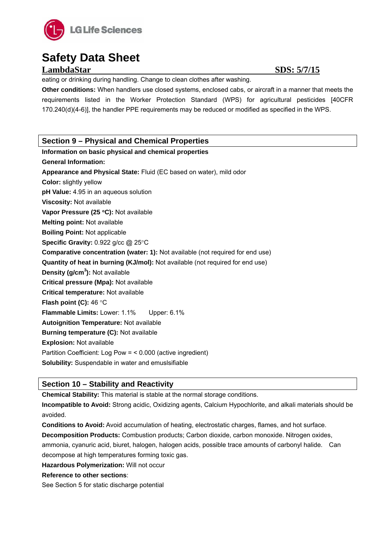

# **LambdaStar SDS: 5/7/15**

eating or drinking during handling. Change to clean clothes after washing.

**Other conditions:** When handlers use closed systems, enclosed cabs, or aircraft in a manner that meets the requirements listed in the Worker Protection Standard (WPS) for agricultural pesticides [40CFR 170.240(d)(4-6)], the handler PPE requirements may be reduced or modified as specified in the WPS.

**Section 9 – Physical and Chemical Properties Information on basic physical and chemical properties General Information: Appearance and Physical State:** Fluid (EC based on water), mild odor **Color:** slightly yellow **pH Value:** 4.95 in an aqueous solution **Viscosity:** Not available **Vapor Pressure (25 C):** Not available **Melting point:** Not available **Boiling Point:** Not applicable **Specific Gravity:** 0.922 g/cc @ 25°C **Comparative concentration (water: 1):** Not available (not required for end use) **Quantity of heat in burning (KJ/mol):** Not available (not required for end use) **Density (g/cm<sup>3</sup>): Not available Critical pressure (Mpa):** Not available **Critical temperature:** Not available **Flash point (C): 46 °C Flammable Limits:** Lower: 1.1% Upper: 6.1% **Autoignition Temperature:** Not available **Burning temperature (C):** Not available **Explosion:** Not available Partition Coefficient: Log Pow = < 0.000 (active ingredient) **Solubility:** Suspendable in water and emuslsifiable

# **Section 10 – Stability and Reactivity**

**Chemical Stability:** This material is stable at the normal storage conditions.

**Incompatible to Avoid:** Strong acidic, Oxidizing agents, Calcium Hypochlorite, and alkali materials should be avoided.

**Conditions to Avoid:** Avoid accumulation of heating, electrostatic charges, flames, and hot surface.

**Decomposition Products:** Combustion products; Carbon dioxide, carbon monoxide. Nitrogen oxides, ammonia, cyanuric acid, biuret, halogen, halogen acids, possible trace amounts of carbonyl halide. Can decompose at high temperatures forming toxic gas.

**Hazardous Polymerization:** Will not occur

**Reference to other sections**:

See Section 5 for static discharge potential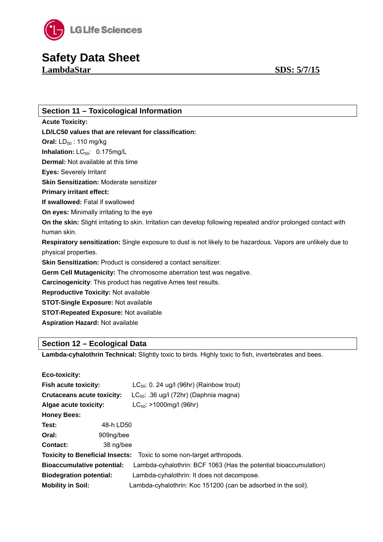

LambdaStar SDS: 5/7/15

## **Section 11 – Toxicological Information**

**Acute Toxicity: LD/LC50 values that are relevant for classification: Oral:** LD<sub>50</sub> : 110 mg/kg **Inhalation:** LC<sub>50</sub>: 0.175mg/L **Dermal:** Not available at this time **Eyes:** Severely Irritant **Skin Sensitization:** Moderate sensitizer **Primary irritant effect: If swallowed:** Fatal if swallowed **On eyes:** Minimally irritating to the eye **On the skin:** Slight irritating to skin. Irritation can develop following repeated and/or prolonged contact with human skin. **Respiratory sensitization:** Single exposure to dust is not likely to be hazardous. Vapors are unlikely due to physical properties. **Skin Sensitization:** Product is considered a contact sensitizer. **Germ Cell Mutagenicity:** The chromosome aberration test was negative. **Carcinogenicity**: This product has negative Ames test results. **Reproductive Toxicity:** Not available **STOT-Single Exposure:** Not available **STOT-Repeated Exposure:** Not available **Aspiration Hazard:** Not available

# **Section 12 – Ecological Data**

**Lambda-cyhalothrin Technical:** Slightly toxic to birds. Highly toxic to fish, invertebrates and bees.

| Eco-toxicity:                                                                                         |           |                                                               |  |  |
|-------------------------------------------------------------------------------------------------------|-----------|---------------------------------------------------------------|--|--|
| <b>Fish acute toxicity:</b>                                                                           |           | $LC_{50}$ : 0. 24 ug/l (96hr) (Rainbow trout)                 |  |  |
| <b>Crutaceans acute toxicity:</b>                                                                     |           | $LC_{50}$ : .36 ug/l (72hr) (Daphnia magna)                   |  |  |
| Algae acute toxicity:                                                                                 |           | $LC_{50}$ : >1000mg/l (96hr)                                  |  |  |
| <b>Honey Bees:</b>                                                                                    |           |                                                               |  |  |
| Test:                                                                                                 | 48-h LD50 |                                                               |  |  |
| Oral:                                                                                                 | 909ng/bee |                                                               |  |  |
| Contact:                                                                                              | 38 ng/bee |                                                               |  |  |
| <b>Toxicity to Beneficial Insects:</b> Toxic to some non-target arthropods.                           |           |                                                               |  |  |
| Lambda-cyhalothrin: BCF 1063 (Has the potential bioaccumulation)<br><b>Bioaccumulative potential:</b> |           |                                                               |  |  |
| <b>Biodegration potential:</b>                                                                        |           | Lambda-cyhalothrin: It does not decompose.                    |  |  |
| <b>Mobility in Soil:</b>                                                                              |           | Lambda-cyhalothrin: Koc 151200 (can be adsorbed in the soil). |  |  |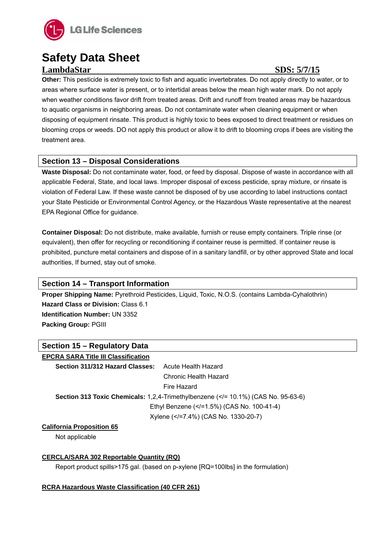

# **LambdaStar SDS: 5/7/15**

**Other:** This pesticide is extremely toxic to fish and aquatic invertebrates. Do not apply directly to water, or to areas where surface water is present, or to intertidal areas below the mean high water mark. Do not apply when weather conditions favor drift from treated areas. Drift and runoff from treated areas may be hazardous to aquatic organisms in neighboring areas. Do not contaminate water when cleaning equipment or when disposing of equipment rinsate. This product is highly toxic to bees exposed to direct treatment or residues on blooming crops or weeds. DO not apply this product or allow it to drift to blooming crops if bees are visiting the treatment area.

# **Section 13 – Disposal Considerations**

**Waste Disposal:** Do not contaminate water, food, or feed by disposal. Dispose of waste in accordance with all applicable Federal, State, and local laws. Improper disposal of excess pesticide, spray mixture, or rinsate is violation of Federal Law. If these waste cannot be disposed of by use according to label instructions contact your State Pesticide or Environmental Control Agency, or the Hazardous Waste representative at the nearest EPA Regional Office for guidance.

**Container Disposal:** Do not distribute, make available, furnish or reuse empty containers. Triple rinse (or equivalent), then offer for recycling or reconditioning if container reuse is permitted. If container reuse is prohibited, puncture metal containers and dispose of in a sanitary landfill, or by other approved State and local authorities, If burned, stay out of smoke.

# **Section 14 – Transport Information**

**Proper Shipping Name:** Pyrethroid Pesticides, Liquid, Toxic, N.O.S. (contains Lambda-Cyhalothrin) **Hazard Class or Division:** Class 6.1 **Identification Number:** UN 3352 **Packing Group:** PGIII

# **Section 15 – Regulatory Data**

**EPCRA SARA Title III Classification Section 311/312 Hazard Classes:** Acute Health Hazard Chronic Health Hazard Fire Hazard **Section 313 Toxic Chemicals:** 1,2,4-Trimethylbenzene (</= 10.1%) (CAS No. 95-63-6) Ethyl Benzene (</=1.5%) (CAS No. 100-41-4) Xylene (</=7.4%) (CAS No. 1330-20-7)

## **California Proposition 65**

Not applicable

## **CERCLA/SARA 302 Reportable Quantity (RQ)**

Report product spills>175 gal. (based on p-xylene [RQ=100lbs] in the formulation)

## **RCRA Hazardous Waste Classification (40 CFR 261)**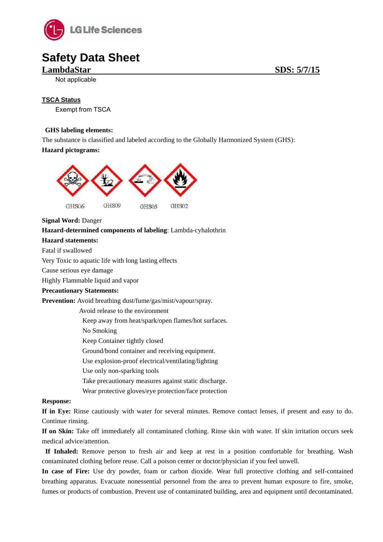

# LambdaStar SDS: 5/7/15

Not applicable

### **TSCA Status**

Exempt from TSCA

#### **GHS labeling elements:**

The substance is classified and labeled according to the Globally Harmonized System (GHS):

### **Hazard pictograms:**



#### **Signal Word:** Danger

### **Hazard-determined components of labeling**: Lambda-cyhalothrin

#### **Hazard statements:**

Fatal if swallowed

Very Toxic to aquatic life with long lasting effects

Cause serious eye damage

Highly Flammable liquid and vapor

### **Precautionary Statements:**

**Prevention:** Avoid breathing dust/fume/gas/mist/vapour/spray.

Avoid release to the environment

Keep away from heat/spark/open flames/hot surfaces.

No Smoking

Keep Container tightly closed

Ground/bond container and receiving equipment.

Use explosion-proof electrical/ventilating/lighting

Use only non-sparking tools

Take precautionary measures against static discharge.

Wear protective gloves/eye protection/face protection

### **Response:**

**If in Eye:** Rinse cautiously with water for several minutes. Remove contact lenses, if present and easy to do. Continue rinsing.

**If on Skin:** Take off immediately all contaminated clothing. Rinse skin with water. If skin irritation occurs seek medical advice/attention.

 **If Inhaled:** Remove person to fresh air and keep at rest in a position comfortable for breathing. Wash contaminated clothing before reuse. Call a poison center or doctor/physician if you feel unwell.

**In case of Fire:** Use dry powder, foam or carbon dioxide. Wear full protective clothing and self-contained breathing apparatus. Evacuate nonessential personnel from the area to prevent human exposure to fire, smoke, fumes or products of combustion. Prevent use of contaminated building, area and equipment until decontaminated.